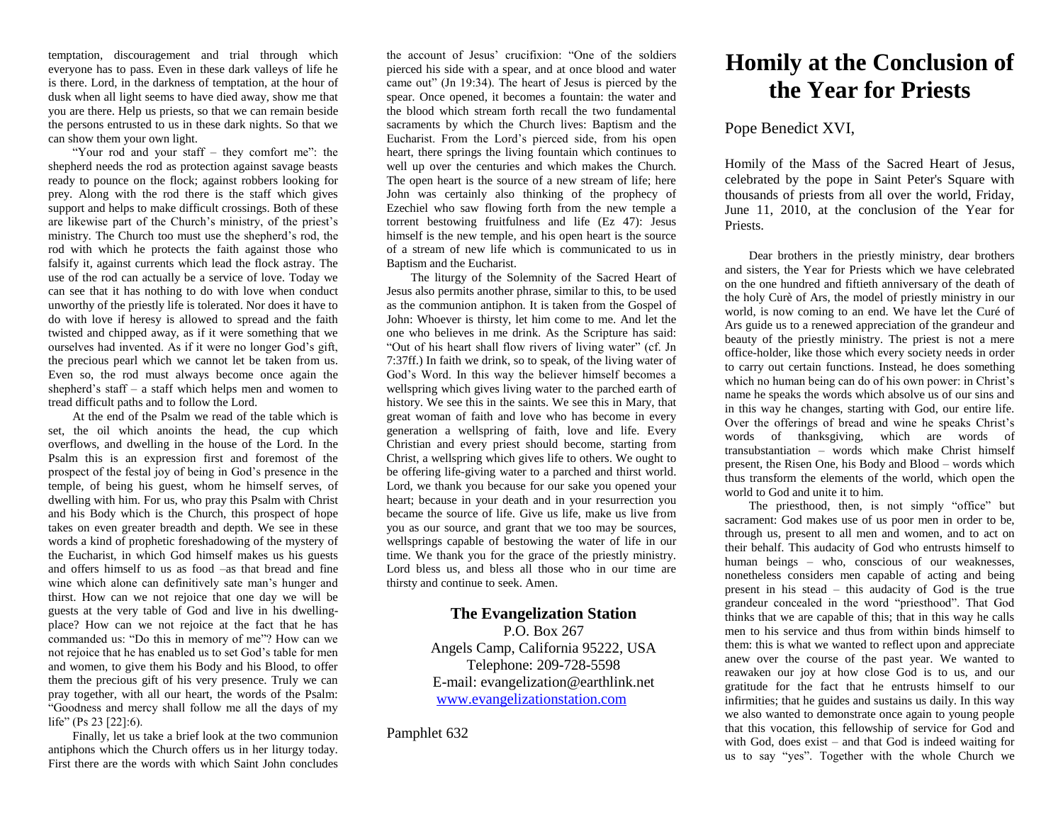temptation, discouragement and trial through which everyone has to pass. Even in these dark valleys of life he is there. Lord, in the darkness of temptation, at the hour of dusk when all light seems to have died away, show me that you are there. Help us priests, so that we can remain beside the persons entrusted to us in these dark nights. So that we can show them your own light.

"Your rod and your staff – they comfort me": the shepherd needs the rod as protection against savage beasts ready to pounce on the flock; against robbers looking for prey. Along with the rod there is the staff which gives support and helps to make difficult crossings. Both of these are likewise part of the Church's ministry, of the priest's ministry. The Church too must use the shepherd's rod, the rod with which he protects the faith against those who falsify it, against currents which lead the flock astray. The use of the rod can actually be a service of love. Today we can see that it has nothing to do with love when conduct unworthy of the priestly life is tolerated. Nor does it have to do with love if heresy is allowed to spread and the faith twisted and chipped away, as if it were something that we ourselves had invented. As if it were no longer God's gift, the precious pearl which we cannot let be taken from us. Even so, the rod must always become once again the shepherd's staff – a staff which helps men and women to tread difficult paths and to follow the Lord.

At the end of the Psalm we read of the table which is set, the oil which anoints the head, the cup which overflows, and dwelling in the house of the Lord. In the Psalm this is an expression first and foremost of the prospect of the festal joy of being in God's presence in the temple, of being his guest, whom he himself serves, of dwelling with him. For us, who pray this Psalm with Christ and his Body which is the Church, this prospect of hope takes on even greater breadth and depth. We see in these words a kind of prophetic foreshadowing of the mystery of the Eucharist, in which God himself makes us his guests and offers himself to us as food –as that bread and fine wine which alone can definitively sate man's hunger and thirst. How can we not rejoice that one day we will be guests at the very table of God and live in his dwellingplace? How can we not rejoice at the fact that he has commanded us: "Do this in memory of me"? How can we not rejoice that he has enabled us to set God's table for men and women, to give them his Body and his Blood, to offer them the precious gift of his very presence. Truly we can pray together, with all our heart, the words of the Psalm: "Goodness and mercy shall follow me all the days of my life" (Ps 23 [22]:6).

Finally, let us take a brief look at the two communion antiphons which the Church offers us in her liturgy today. First there are the words with which Saint John concludes

the account of Jesus' crucifixion: "One of the soldiers pierced his side with a spear, and at once blood and water came out" (Jn 19:34). The heart of Jesus is pierced by the spear. Once opened, it becomes a fountain: the water and the blood which stream forth recall the two fundamental sacraments by which the Church lives: Baptism and the Eucharist. From the Lord's pierced side, from his open heart, there springs the living fountain which continues to well up over the centuries and which makes the Church. The open heart is the source of a new stream of life; here John was certainly also thinking of the prophecy of Ezechiel who saw flowing forth from the new temple a torrent bestowing fruitfulness and life (Ez 47): Jesus himself is the new temple, and his open heart is the source of a stream of new life which is communicated to us in Baptism and the Eucharist.

The liturgy of the Solemnity of the Sacred Heart of Jesus also permits another phrase, similar to this, to be used as the communion antiphon. It is taken from the Gospel of John: Whoever is thirsty, let him come to me. And let the one who believes in me drink. As the Scripture has said: "Out of his heart shall flow rivers of living water" (cf. Jn 7:37ff.) In faith we drink, so to speak, of the living water of God's Word. In this way the believer himself becomes a wellspring which gives living water to the parched earth of history. We see this in the saints. We see this in Mary, that great woman of faith and love who has become in every generation a wellspring of faith, love and life. Every Christian and every priest should become, starting from Christ, a wellspring which gives life to others. We ought to be offering life-giving water to a parched and thirst world. Lord, we thank you because for our sake you opened your heart; because in your death and in your resurrection you became the source of life. Give us life, make us live from you as our source, and grant that we too may be sources, wellsprings capable of bestowing the water of life in our time. We thank you for the grace of the priestly ministry. Lord bless us, and bless all those who in our time are thirsty and continue to seek. Amen.

## **The Evangelization Station**

P.O. Box 267 Angels Camp, California 95222, USA Telephone: 209-728-5598 E-mail: evangelization@earthlink.net [www.evangelizationstation.com](http://www.pjpiisoe.org/)

Pamphlet 632

## **Homily at the Conclusion of the Year for Priests**

## Pope Benedict XVI,

Homily of the Mass of the Sacred Heart of Jesus, celebrated by the pope in Saint Peter's Square with thousands of priests from all over the world, Friday, June 11, 2010, at the conclusion of the Year for Priests.

Dear brothers in the priestly ministry, dear brothers and sisters, the Year for Priests which we have celebrated on the one hundred and fiftieth anniversary of the death of the holy Curè of Ars, the model of priestly ministry in our world, is now coming to an end. We have let the Curé of Ars guide us to a renewed appreciation of the grandeur and beauty of the priestly ministry. The priest is not a mere office-holder, like those which every society needs in order to carry out certain functions. Instead, he does something which no human being can do of his own power: in Christ's name he speaks the words which absolve us of our sins and in this way he changes, starting with God, our entire life. Over the offerings of bread and wine he speaks Christ's words of thanksgiving, which are words of transubstantiation – words which make Christ himself present, the Risen One, his Body and Blood – words which thus transform the elements of the world, which open the world to God and unite it to him.

The priesthood, then, is not simply "office" but sacrament: God makes use of us poor men in order to be, through us, present to all men and women, and to act on their behalf. This audacity of God who entrusts himself to human beings – who, conscious of our weaknesses, nonetheless considers men capable of acting and being present in his stead – this audacity of God is the true grandeur concealed in the word "priesthood". That God thinks that we are capable of this; that in this way he calls men to his service and thus from within binds himself to them: this is what we wanted to reflect upon and appreciate anew over the course of the past year. We wanted to reawaken our joy at how close God is to us, and our gratitude for the fact that he entrusts himself to our infirmities; that he guides and sustains us daily. In this way we also wanted to demonstrate once again to young people that this vocation, this fellowship of service for God and with God, does exist – and that God is indeed waiting for us to say "yes". Together with the whole Church we